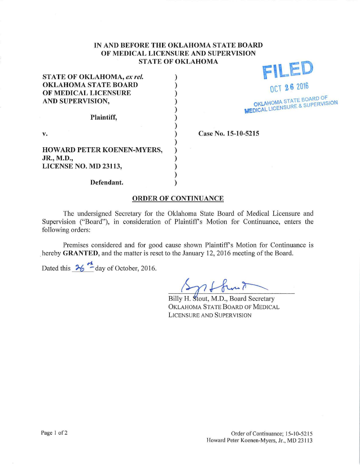## IN AND BEFORE THE OKLAHOMA STATE BOARD OF MEDICAL LICENSURE AND SUPERVISION STATE OF OKLAHOMA

| <b>STATE OF OKLAHOMA, ex rel.</b> |  |
|-----------------------------------|--|
| <b>OKLAHOMA STATE BOARD</b>       |  |
| OF MEDICAL LICENSURE              |  |
| AND SUPERVISION,                  |  |
|                                   |  |
| Plaintiff,                        |  |
|                                   |  |
| v.                                |  |
| HOWARD PETER KOENEN-MYERS,        |  |
| JR., M.D.,                        |  |
| LICENSE NO. MD 23113,             |  |
|                                   |  |
| Defendant.                        |  |

STATE OF OKLAHOMA, *ex rel.* <br> **FILED** OCT 26 2016 OKLAHOMA STATE BOARD OF **MEDICAL LICENS!** 

Case No. 15-10-5215

## ORDER OF CONTINUANCE

The undersigned Secretary for the Oklahoma State Board of Medical Licensure and Supervision ("Board"), in consideration of Plaintiff's Motion for Continuance, enters the following orders:

Premises considered and for good cause shown Plaintiff's Motion for Continuance is hereby GRANTED, and the matter is reset to the January 12, 2016 meeting of the Board.

Dated this  $\frac{h}{26}$   $\frac{h}{2}$  day of October, 2016.

Billy H. Stout, M.D., Board Secretary OKLAHOMA STATE BOARD OF MEDICAL LICENSURE AND SUPERVISION